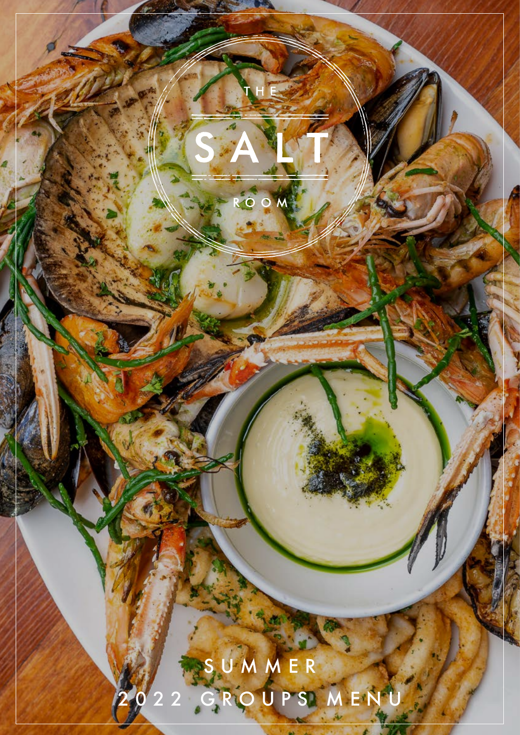# $\overline{\mathsf{M}}$  $\bullet$  $\overline{O}$ SUMMER2022 GROUPS MENU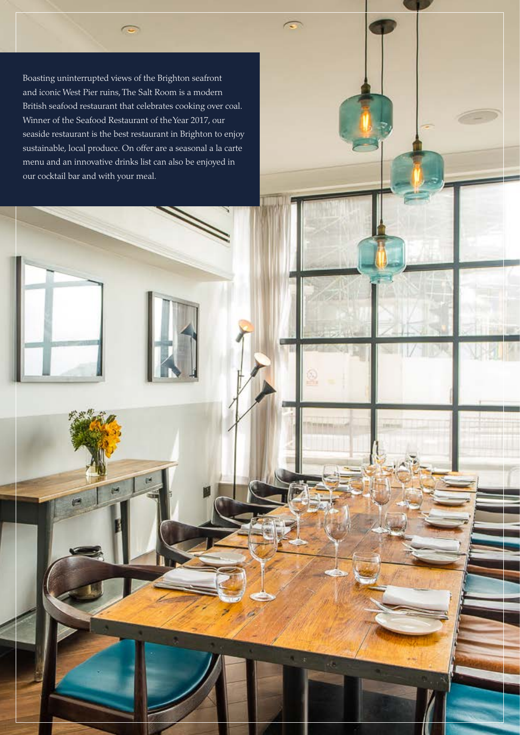Boasting uninterrupted views of the Brighton seafront and iconic West Pier ruins, The Salt Room is a modern British seafood restaurant that celebrates cooking over coal. Winner of the Seafood Restaurant of the Year 2017, our seaside restaurant is the best restaurant in Brighton to enjoy sustainable, local produce. On offer are a seasonal a la carte menu and an innovative drinks list can also be enjoyed in our cocktail bar and with your meal.

 $\overline{C}$ 

 $\sim$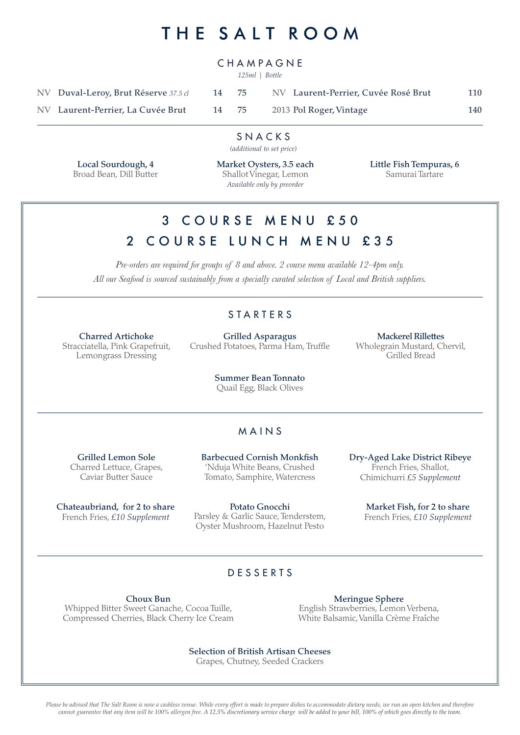# THE SALT ROOM

#### CHAMPAGNE

*125ml | Bottle*

| NV Duval-Leroy, Brut Réserve 37.5 cl | 14 75 | NV Laurent-Perrier, Cuvée Rosé Brut | 110 |
|--------------------------------------|-------|-------------------------------------|-----|
| NV Laurent-Perrier, La Cuvée Brut    | 14 75 | 2013 Pol Roger, Vintage             | 140 |

#### SNACKS

*(additional to set price)*

Local Sourdough, 4 Broad Bean, Dill Butter Market Oysters, 3.5 each Shallot Vinegar, Lemon *Available only by preorder*

Little Fish Tempuras, 6 Samurai Tartare

### 3 COURSE MENU £50 2 COURSE LUNCH MENU £35

*Pre-orders are required for groups of 8 and above. 2 course menu available 12-4pm only. All our Seafood is sourced sustainably from a specially curated selection of Local and British suppliers.* 

#### STARTERS

Charred Artichoke Stracciatella, Pink Grapefruit, Lemongrass Dressing

Grilled Asparagus Crushed Potatoes, Parma Ham, Truffle

Mackerel Rillettes Wholegrain Mustard, Chervil, Grilled Bread

Summer Bean Tonnato Quail Egg, Black Olives

#### MAINS

Grilled Lemon Sole Charred Lettuce, Grapes, Caviar Butter Sauce

Chateaubriand, for 2 to share French Fries, *£10 Supplement*

Barbecued Cornish Monkfish 'Nduja White Beans, Crushed Tomato, Samphire, Watercress

Potato Gnocchi Parsley & Garlic Sauce, Tenderstem, Oyster Mushroom, Hazelnut Pesto

Dry-Aged Lake District Ribeye French Fries, Shallot, Chimichurri *£5 Supplement*

> Market Fish, for 2 to share French Fries, *£10 Supplement*

#### DESSERTS

Choux Bun Whipped Bitter Sweet Ganache, Cocoa Tuille, Compressed Cherries, Black Cherry Ice Cream

Meringue Sphere English Strawberries, Lemon Verbena, White Balsamic, Vanilla Crème Fraîche

Selection of British Artisan Cheeses

Grapes, Chutney, Seeded Crackers

*Please be advised that The Salt Room is now a cashless venue. While every effort is made to prepare dishes to accommodate dietary needs, we run an open kitchen and therefore cannot guarantee that any item will be 100% allergen free. A 12.5% discretionary service charge will be added to your bill, 100% of which goes directly to the team.*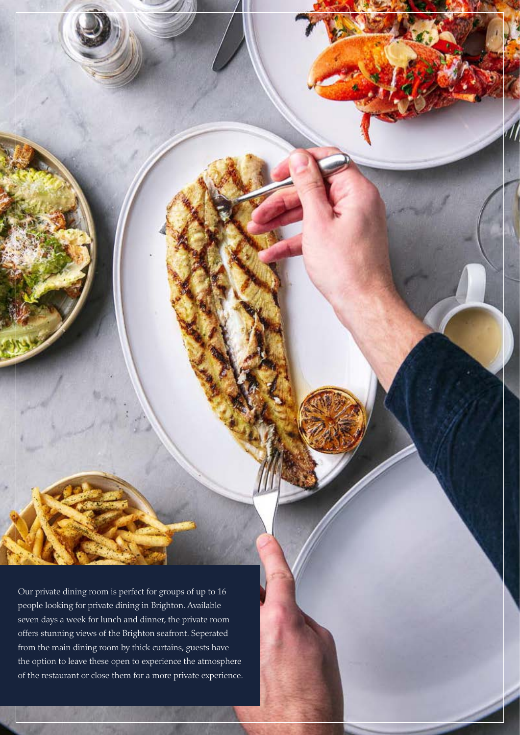Our private dining room is perfect for groups of up to 16 people looking for private dining in Brighton. Available seven days a week for lunch and dinner, the private room offers stunning views of the Brighton seafront. Seperated from the main dining room by thick curtains, guests have the option to leave these open to experience the atmosphere of the restaurant or close them for a more private experience.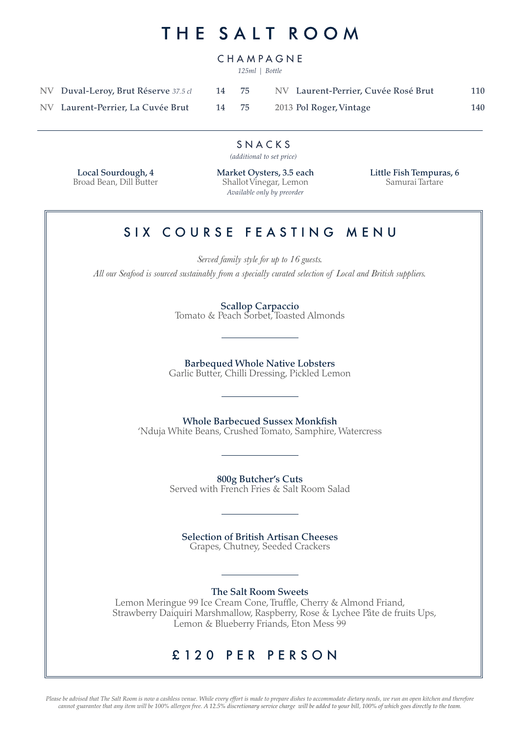## THE SALT ROOM

#### CHAMPAGNE

*125ml | Bottle*

| NV Duval-Leroy, Brut Réserve 37.5 cl | 14 75 | NV Laurent-Perrier, Cuvée Rosé Brut | 110 |
|--------------------------------------|-------|-------------------------------------|-----|
| NV Laurent-Perrier, La Cuvée Brut    | 14 75 | 2013 Pol Roger, Vintage             | 140 |

SNACKS

*(additional to set price)*

Local Sourdough, 4 Broad Bean, Dill Butter Market Oysters, 3.5 each Shallot Vinegar, Lemon *Available only by preorder*

Little Fish Tempuras, 6 Samurai Tartare

#### SIX COURSE FEASTING MENU

*Served family style for up to 16 guests. All our Seafood is sourced sustainably from a specially curated selection of Local and British suppliers.*

> Scallop Carpaccio Tomato & Peach Sorbet, Toasted Almonds

Barbequed Whole Native Lobsters Garlic Butter, Chilli Dressing, Pickled Lemon

Whole Barbecued Sussex Monkfish 'Nduja White Beans, Crushed Tomato, Samphire, Watercress

> 800g Butcher's Cuts Served with French Fries & Salt Room Salad

Selection of British Artisan Cheeses Grapes, Chutney, Seeded Crackers

The Salt Room Sweets

Lemon Meringue 99 Ice Cream Cone, Truffle, Cherry & Almond Friand, Strawberry Daiquiri Marshmallow, Raspberry, Rose & Lychee Pâte de fruits Ups, Lemon & Blueberry Friands, Eton Mess 99

#### £120 PER PERSON

*Please be advised that The Salt Room is now a cashless venue. While every effort is made to prepare dishes to accommodate dietary needs, we run an open kitchen and therefore cannot guarantee that any item will be 100% allergen free. A 12.5% discretionary service charge will be added to your bill, 100% of which goes directly to the team.*